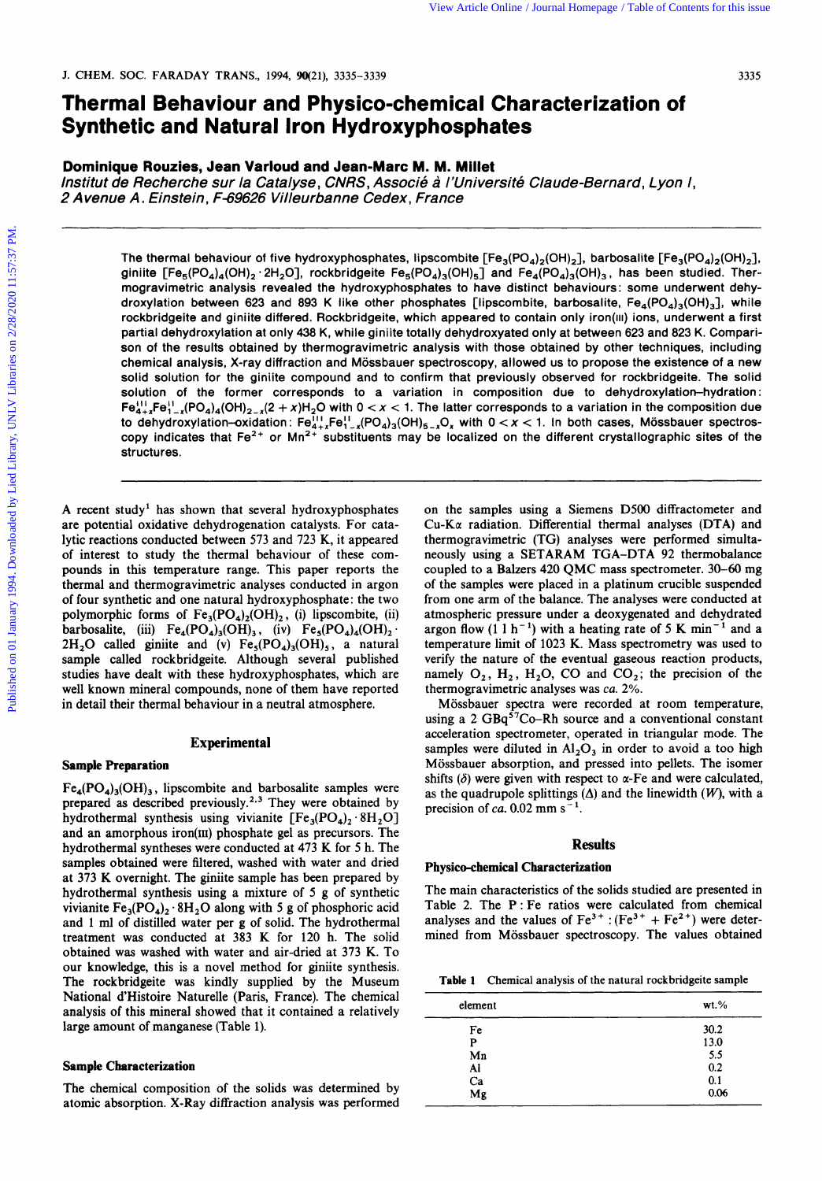# **Thermal Behaviour and Physico-chemical Characterization of Synthetic and Natural Iron Hydroxyphosphates**

### **Dominique Rouzies, Jean Varloud and Jean-Marc M. M. Millet**

*lnstitut de Recherche sur la Catalyse, CNRS, Associe* **4** *l'universite Claude-Bernard, Lyon I, 2 Avenue A. Einstein, F-69626 Villeurbanne Cedex, France* 

The thermal behaviour of five hydroxyphosphates, lipscombite  $[Fe_3(PO_4)_2(OH)_2]$ , barbosalite  $[Fe_3(PO_4)_2(OH)_2]$ , giniite  $[Fe_5(PO_4)_4(OH)_2 \cdot 2H_2O]$ , rockbridgeite Fe<sub>5</sub> $[PO_4)_3(OH)_5]$  and Fe<sub>4</sub> $[PO_4)_3(OH)_3$ , has been studied. Thermogravimetric analysis revealed the hydroxyphosphates to have distinct behaviours: some underwent dehydroxylation between **623** and **893 K** like other phosphates [lipscombite, barbosalite, Fe,(PO,),(OH),], while rockbridgeite and giniite differed. Rockbridgeite, which appeared to contain only iron(iii) ions, underwent a first partial dehydroxylation at only **438 K,** while giniite totally dehydroxyated only at between **623** and **823 K.** Comparison **of** the results obtained by thermogravimetric analysis with those obtained by other techniques, including chemical analysis, X-ray diffraction and Mossbauer spectroscopy, allowed us to propose the existence of a new solid solution for the giniite compound and to confirm that previously observed for rockbridgeite. The solid solution of the former corresponds to a variation in composition due to **dehydroxylation-hydration** :  $Fe^{11}_{4+x}Fe^{1}_{1-x}(PO_4)_4(OH)_{2-x}(2+x)H_2O$  with  $0 < x < 1$ . The latter corresponds to a variation in the composition due to dehydroxylation-oxidation:  $Fe_{4+x}^{11}Fe_{1-x}^{11}(PO_4)_3(OH)_{5-x}O_x$  with  $0 < x < 1$ . In both cases, Mössbauer spectroscopy indicates that Fe2+ **or** Mn2+ substituents may be localized on the different crystallographic sites of the structures. For Antibality 1994. Some is the Antibality of Manuel Characterization of<br> **Synthetic and Natural Iron Hydroxyphosphates**<br>
Duminite Rouzies, Jean Variant Iron Hydroxyphosphates<br>
Duminite Rouzies and Variant Iron Hydroxyph

**A** recent study' has shown that several hydroxyphosphates are potential oxidative dehydrogenation catalysts. For catalytic reactions conducted between 573 and 723 K, it appeared of interest to study the thermal behaviour of these compounds in this temperature range. This paper reports the thermal and thermogravimetric analyses conducted in argon of four synthetic and one natural hydroxyphosphate: the two polymorphic forms of  $Fe_3(PO_4)_2(OH)_2$ , (i) lipscombite, (ii) barbosalite, (iii)  $Fe_4(PO_4)_3(OH)_3$ , (iv)  $Fe_5(PO_4)_4(OH)_2$ .<br>2H<sub>2</sub>O called giniite and (v)  $Fe_5(PO_4)_3(OH)_5$ , a natural sample called rockbridgeite. Although several published studies have dealt with these hydroxyphosphates, which are well known mineral compounds, none of them have reported in detail their thermal behaviour in a neutral atmosphere.

#### **Experimental**

#### **Sample Preparation**

 $Fe_4(PO_4)_3(OH)_3$ , lipscombite and barbosalite samples were prepared as described previously.<sup>2,3</sup> They were obtained by hydrothermal synthesis using vivianite  $[Fe_3(PO_4)_2.8H_2O]$ and an amorphous iron(III) phosphate gel as precursors. The hydrothermal syntheses were conducted at 473 K for 5 h. The samples obtained were filtered, washed with water and dried at 373 **K** overnight. The giniite sample has been prepared by hydrothermal synthesis using a mixture of 5 g of synthetic vivianite  $Fe_3(PO_4)_2 \cdot 8H_2O$  along with 5 g of phosphoric acid and 1 ml of distilled water per **g** of solid. The hydrothermal treatment was conducted at 383 K for 120 h. The solid obtained was washed with water and air-dried at 373 K. To our knowledge, this is a novel method for giniite synthesis. The rockbridgeite was kindly supplied by the Museum National d'Histoire Naturelle (Paris, France). The chemical analysis of this mineral showed that it contained a relatively large amount of manganese (Table 1).

### **Sample Characterization**

The chemical composition of the solids was determined by atomic absorption. X-Ray diffraction analysis was performed on the samples using a Siemens D500 diffractometer and  $Cu-Ka$  radiation. Differential thermal analyses (DTA) and thermogravimetric (TG) analyses were performed simultaneously using a SETARAM TGA-DTA 92 thermobalance coupled to a Balzers 420 QMC mass spectrometer. 30-60 mg of the samples were placed in a platinum crucible suspended from one arm of the balance. The analyses were conducted at atmospheric pressure under a deoxygenated and dehydrated argon flow  $(1 \ 1 \ h^{-1})$  with a heating rate of 5 K min<sup>-1</sup> and a temperature limit of 1023 K. Mass spectrometry was used to verify the nature of the eventual gaseous reaction products, namely  $O_2$ ,  $H_2$ ,  $H_2O$ , CO and CO<sub>2</sub>; the precision of the thermogravimetric analyses was *ca.* 2%.

Mossbauer spectra were recorded at room temperature, using a 2  $GBq^{57}Co-Rh$  source and a conventional constant acceleration spectrometer, operated in triangular mode. The samples were diluted in  $Al_2O_3$  in order to avoid a too high Mossbauer absorption, and pressed into pellets. The isomer shifts  $(\delta)$  were given with respect to  $\alpha$ -Fe and were calculated, as the quadrupole splittings  $(\Delta)$  and the linewidth  $(W)$ , with a precision of *ca*. 0.02 mm  $s^{-1}$ .

#### **Results**

#### **Physico-chemical Characterization**

The main characteristics of the solids studied are presented in Table 2. The P : Fe ratios were calculated from chemical analyses and the values of  $Fe^{3+}$ : ( $Fe^{3+}$  +  $Fe^{2+}$ ) were determined from Mössbauer spectroscopy. The values obtained

**Table 1 Chemical analysis of the natural rockbridgeite sample** 

| element         | $wt.$ %           |
|-----------------|-------------------|
| Fe              | 30.2              |
| P               | 13.0              |
| Mn              |                   |
| Al              | $\frac{5.5}{0.2}$ |
| Ca              | 0.1               |
| $\overline{Mg}$ | 0.06              |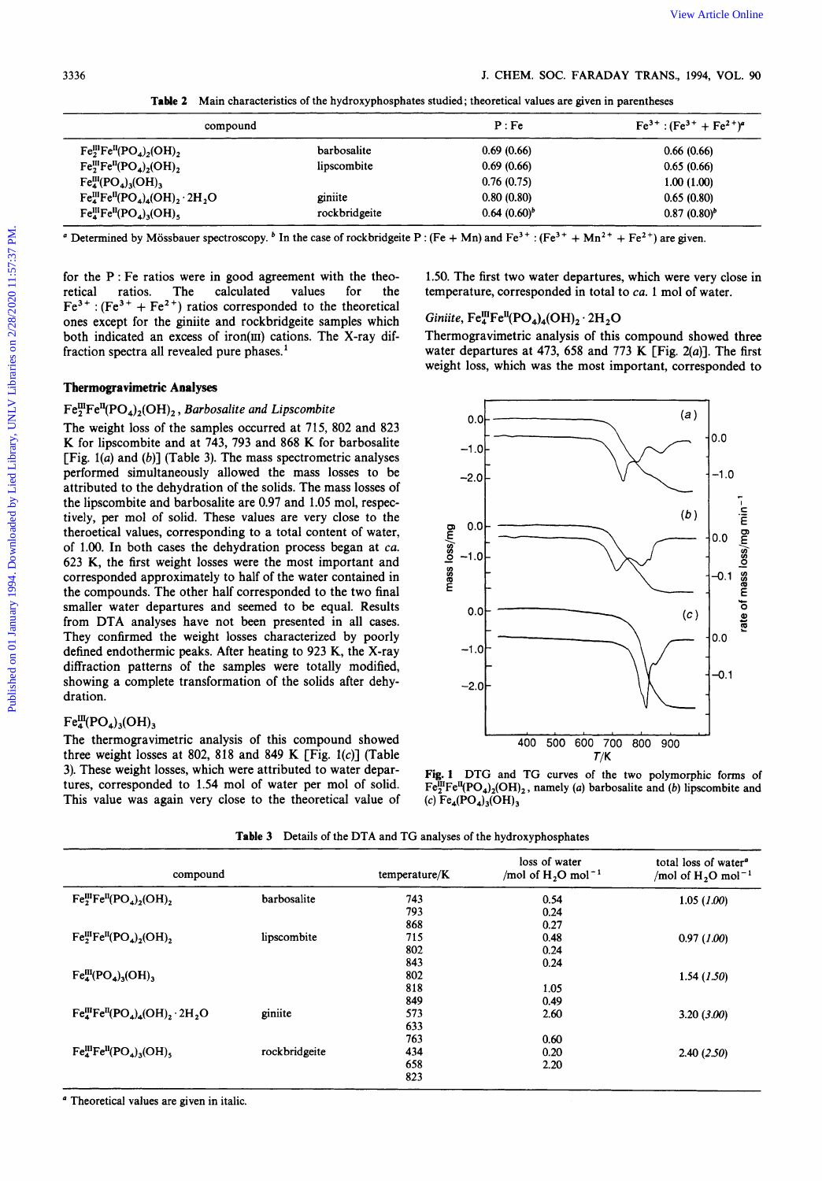**Table 2** Main characteristics of the hydroxyphosphates studied; theoretical values are given in parentheses

| compound                                      |               | P:Fe             | $Fe3+ : (Fe3+ + Fe2+)a$ |
|-----------------------------------------------|---------------|------------------|-------------------------|
| $Fe^{III}_2Fe^{II}(PO_4)_2(OH)_2$             | barbosalite   | 0.69(0.66)       | 0.66(0.66)              |
| $Fe^{III}_2Fe^{II}(PO_4)_2(OH)_2$             | lipscombite   | 0.69(0.66)       | 0.65(0.66)              |
| $Fe^{III}_{4}(PO_{4})_{3}(OH)_{3}$            |               | 0.76(0.75)       | 1.00(1.00)              |
| $Fe^{III}_4Fe^{II}(PO_4)_4(OH)_2 \cdot 2H_2O$ | giniite       | 0.80(0.80)       | 0.65(0.80)              |
| $Fe^{III}_4Fe^{II}(PO_4)_3(OH)$ ,             | rockbridgeite | $0.64(0.60)^{b}$ | $0.87(0.80)^b$          |

<sup>*a*</sup> Determined by Mössbauer spectroscopy. <sup>*b*</sup> In the case of rockbridgeite P :  $(Fe + Mn)$  and  $Fe^{3+}$  :  $(Fe^{3+} + Mn^{2+} + Fe^{2+})$  are given.

for the  $P$ : Fe ratios were in good agreement with the theo-<br>retical ratios. The calculated values for the retical ratios. The calculated values for the  $Fe^{3+}$ : (Fe<sup>3+</sup> + Fe<sup>2+</sup>) ratios corresponded to the theoretical ones except for the giniite and rockbridgeite samples which both indicated an excess of iron(III) cations. The X-ray diffraction spectra all revealed pure phases.'

### **Tbermogravimetric Analyses**

## $Fe^{III}_2Fe^{II}(PO_4)_2(OH)_2$ , *Barbosalite and Lipscombite*

The weight loss of the samples occurred at **715, 802** and **823**  K for lipscombite and at **743, 793** and **868 K** for barbosalite [Fig. **l(a)** and *(b)]* (Table 3). The mass spectrometric analyses performed simultaneously allowed the mass losses to be attributed to the dehydration of the solids. The mass losses of the lipscombite and barbosalite are **0.97** and **1.05** mol, respectively, per mol of solid. These values are very close to the theroetical values, corresponding to a total content of water, of **1.00.** In both cases the dehydration process began at *ca.*  **623** K, the first weight losses were the most important and corresponded approximately to half of the water contained in the compounds. The other half corresponded to the two final smaller water departures and seemed to be equal. Results from DTA analyses have not been presented in all cases. They confirmed the weight losses characterized by poorly defined endothermic peaks. After heating to **923** K, the X-ray diffraction patterns of the samples were totally modified, showing a complete transformation of the solids after dehydration.

# $Fe^{III}_{4} (PO_{4})_{3} (OH)_{3}$

The thermogravimetric analysis of this compound showed three weight losses at **802, 818** and **849 K** [Fig. **l(c)]** (Table **3).** These weight losses, which were attributed to water departures, corresponded to **1.54** mol of water per mol of solid. This value was again very close to the theoretical value of 1.50. The first two water departures, which were very close in temperature, corresponded in total to *ca.* 1 mol of water.

# $Giniite$ ,  $Fe^{III}_4Fe^{II}$ ( $PO_4$ )<sub>4</sub>( $OH$ )<sub>2</sub>  $\cdot$   $2H_2O$

Thermogravimetric analysis of this compound showed three water departures at **473, 658** and **773 K** [Fig. *2(a)].* The first weight loss, which was the most important, corresponded to



**Fig. 1 DTG and TG curves of the two polymorphic forms of**   $Fe^{III}_2Fe^{II}(PO_4)_2(OH)_2$ , namely (a) barbosalite and (b) lipscombite and (4 **Fe,(PO,),(OH) 3** 

**Table 3 Details of the DTA and TG analyses of the hydroxyphosphates** 

| compound                                                |               | temperature/K | loss of water<br>/mol of $H_2O$ mol <sup>-1</sup> | total loss of water <sup>a</sup><br>/mol of $H_2O$ mol <sup>-1</sup> |
|---------------------------------------------------------|---------------|---------------|---------------------------------------------------|----------------------------------------------------------------------|
| $Fe2IIIFeII(PO4)2(OH)2$                                 | barbosalite   | 743           | 0.54                                              | 1.05(1.00)                                                           |
|                                                         |               | 793           | 0.24                                              |                                                                      |
|                                                         |               | 868           | 0.27                                              |                                                                      |
| $Fe^{III}_2Fe^{II}(PO_4)_2(OH)_2$                       | lipscombite   | 715           | 0.48                                              | 0.97(1.00)                                                           |
|                                                         |               | 802           | 0.24                                              |                                                                      |
|                                                         |               | 843           | 0.24                                              |                                                                      |
| $Fe^{III}_{4}(PO_{4})_{3}(OH)_{3}$                      |               | 802           |                                                   | 1.54(1.50)                                                           |
|                                                         |               | 818           | 1.05                                              |                                                                      |
|                                                         |               | 849           | 0.49                                              |                                                                      |
| $Fe^{III}_{4}Fe^{II}(PO_{4})_{4}(OH)_{2} \cdot 2H_{2}O$ | giniite       | 573           | 2.60                                              | $3.20$ $(3.00)$                                                      |
|                                                         |               | 633           |                                                   |                                                                      |
|                                                         |               | 763           | 0.60                                              |                                                                      |
| $Fe^{III}_4Fe^{II}(PO_4)_3(OH)_5$                       | rockbridgeite | 434           | 0.20                                              | 2.40(2.50)                                                           |
|                                                         |               | 658           | 2.20                                              |                                                                      |
|                                                         |               | 823           |                                                   |                                                                      |

*<sup>a</sup>***Theoretical values are given in italic.**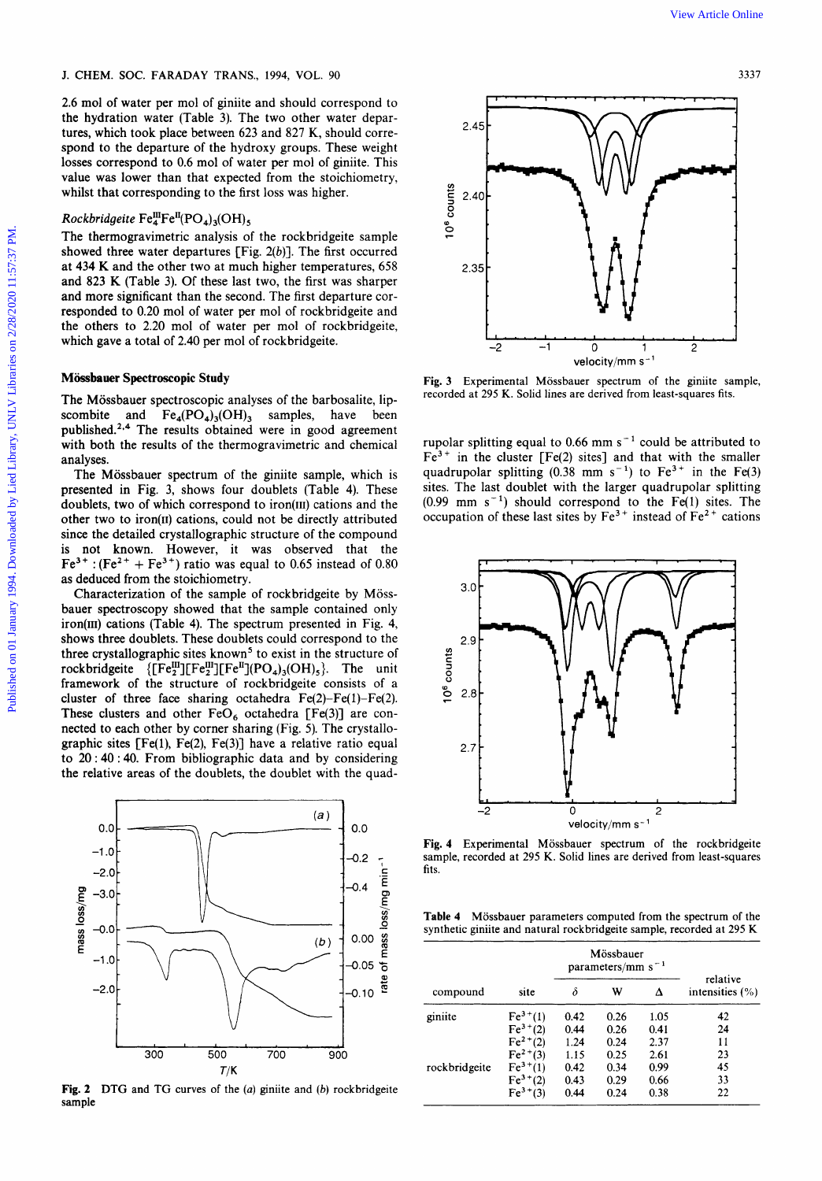**2.6** mol of water per mol of giniite and should correspond to the hydration water (Table 3). The two other water departures, which took place between 623 and 827 **K,** should correspond to the departure of the hydroxy groups. These weight losses correspond to 0.6 mol of water per mol of giniite. This value was lower than that expected from the stoichiometry, whilst that corresponding to the first loss was higher.

### $Rockbridgeite Fe<sup>III</sup><sub>4</sub>Fe<sup>II</sup>(PO<sub>4</sub>)<sub>3</sub>(OH),$

The thermogravimetric analysis of the rockbridgeite sample showed three water departures [Fig.  $2(b)$ ]. The first occurred at **434** K and the other two at much higher temperatures, 658 and **823 K** (Table 3). Of these last two, the first was sharper and more significant than the second. The first departure corresponded to 0.20 mol of water per mol of rockbridgeite and the others to **2.20** mol of water per mol of rockbridgeite, which gave a total of 2.40 per mol of rockbridgeite.

### **Miissbauer Spectroscopic Study**

The Mössbauer spectroscopic analyses of the barbosalite, lipscombite and  $Fe_4(PO_4)_3(OH)_3$  samples, have been published.<sup>2,4</sup> The results obtained were in good agreement with both the results of the thermogravimetric and chemical analyses.

The Mössbauer spectrum of the giniite sample, which is presented in Fig. 3, shows four doublets (Table 4). These doublets, two of which correspond to iron(II1) cations and the other two to iron(II) cations, could not be directly attributed since the detailed crystallographic structure of the compound is not known. However, it was observed that the  $Fe^{3+}$  : (Fe<sup>2+</sup> + Fe<sup>3+</sup>) ratio was equal to 0.65 instead of 0.80 as deduced from the stoichiometry.

Characterization of the sample of rockbridgeite by Mössbauer spectroscopy showed that the sample contained only iron(II1) cations (Table 4). The spectrum presented in Fig. **4,**  shows three doublets. These doublets could correspond to the three crystallographic sites known<sup>5</sup> to exist in the structure of rockbridgeite  ${[\text{Fe}_{2}^{\text{III}}][\text{Fe}_{2}^{\text{III}}][\text{Fe}^{\text{II}}](\text{PO}_{4})_{3}(\text{OH})_{5}}$ . The unit framework of the structure of rockbridgeite consists of a cluster of three face sharing octahedra  $Fe(2)-Fe(1)-Fe(2)$ . These clusters and other  $FeO<sub>6</sub>$  octahedra [Fe(3)] are connected to each other by corner sharing (Fig. 5). The crystallographic sites  $[Fe(1), Fe(2), Fe(3)]$  have a relative ratio equal to **20** : 40 : **40.** From bibliographic data and by considering the relative areas of the doublets, the doublet with the quad-



**Fig. 2 DTG and TG curves of the** *(a)* **giniite and** *(b)* **rockbridgeite sample** 



Fig. 3 Experimental Mössbauer spectrum of the giniite sample, **recorded at 295** K. **Solid lines are derived from least-squares fits.** 

rupolar splitting equal to 0.66 mm  $s^{-1}$  could be attributed to  $Fe<sup>3+</sup>$  in the cluster [Fe(2) sites] and that with the smaller quadrupolar splitting  $(0.38 \text{ mm s}^{-1})$  to  $\text{Fe}^{3+}$  in the Fe(3) sites. The last doublet with the larger quadrupolar splitting  $(0.99$  mm s<sup>-1</sup>) should correspond to the Fe(1) sites. The occupation of these last sites by  $Fe^{3+}$  instead of  $Fe^{2+}$  cations



Fig. 4 Experimental Mössbauer spectrum of the rockbridgeite **sample, recorded at 295** K. **Solid lines are derived from least-squares fits.** 

Table 4 Mössbauer parameters computed from the spectrum of the **synthetic giniite and natural rockbridgeite sample, recorded at 295 K** 

|               |              | Mössbauer<br>parameters/mm $s^{-1}$ |      |      |                                 |
|---------------|--------------|-------------------------------------|------|------|---------------------------------|
| compound      | site         | δ                                   | W    | Δ    | relative<br>intensities $(\% )$ |
| giniite       | $Fe^{3+}(1)$ | 0.42                                | 0.26 | 1.05 | 42                              |
|               | $Fe3+(2)$    | 0.44                                | 0.26 | 0.41 | 24                              |
|               | $Fe^{2+}(2)$ | 1.24                                | 0.24 | 2.37 | 11                              |
|               | $Fe^{2+}(3)$ | 1.15                                | 0.25 | 2.61 | 23                              |
| rockbridgeite | $Fe^{3+}(1)$ | 0.42                                | 0.34 | 0.99 | 45                              |
|               | $Fe3+(2)$    | 0.43                                | 0.29 | 0.66 | 33                              |
|               | $Fe^{3+}(3)$ | 0.44                                | 0.24 | 0.38 | 22                              |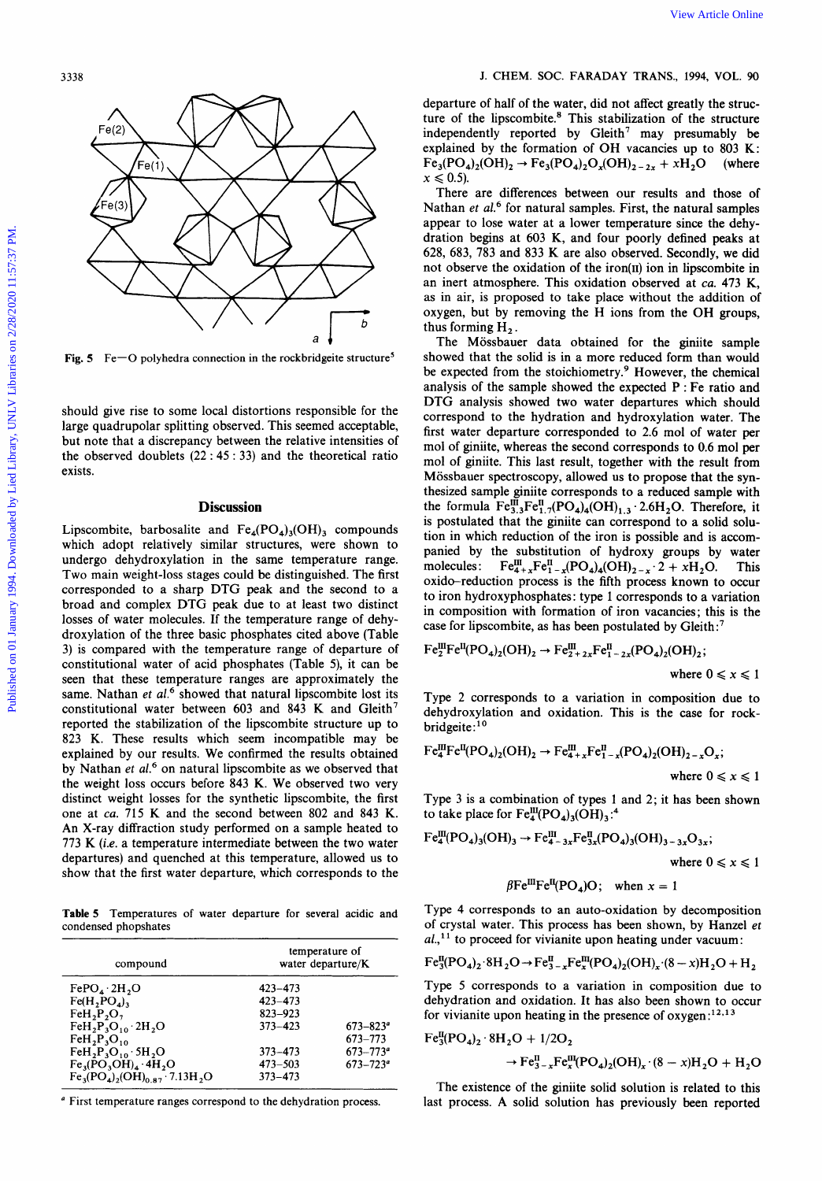

**Fig. 5 Fe-0 polyhedra connection in the rockbridgeite structure'** 

should give rise to some local distortions responsible for the large quadrupolar splitting observed. This seemed acceptable, but note that a discrepancy between the relative intensities of the observed doublets **(22** : **45** : **33)** and the theoretical ratio exists.

#### **Discussion**

Lipscombite, barbosalite and  $Fe_4(PO_4)_3(OH)_3$  compounds which adopt relatively similar structures, were shown to undergo dehydroxylation in the same temperature range. Two main weight-loss stages could be distinguished. The first corresponded to a sharp DTG peak and the second to a broad and complex DTG peak due to at least two distinct losses of water molecules. If the temperature range of dehydroxylation of the three basic phosphates cited above (Table **3)** is compared with the temperature range of departure of constitutional water of acid phosphates (Table **5),** it can be seen that these temperature ranges are approximately the same. Nathan *et al.*<sup>6</sup> showed that natural lipscombite lost its constitutional water between **603** and **843 K** and Gleith' reported the stabilization of the lipscombite structure up to **823** K. These results which seem incompatible may be explained by our results. We confirmed the results obtained by Nathan *et al.*<sup>6</sup> on natural lipscombite as we observed that the weight loss occurs before **843 K.** We observed two very distinct weight losses for the synthetic lipscombite, the first one at ca. **715** K and the second between **802** and **843** K. An X-ray diffraction study performed on a sample heated to **773 K (i.e.** a temperature intermediate between the two water departures) and quenched at this temperature, allowed **us** to show that the first water departure, which corresponds to the

**Table 5 Temperatures of water departure for several acidic and condensed phopshates** 

| compound                                                            | temperature of<br>water departure/K |                          |  |
|---------------------------------------------------------------------|-------------------------------------|--------------------------|--|
| FePO <sub>4</sub> ·2H <sub>2</sub> O                                | $423 - 473$                         |                          |  |
| Fe(H, PO <sub>A</sub> )                                             | $423 - 473$                         |                          |  |
| FeH, P, O,                                                          | 823-923                             |                          |  |
| $FeH2P3O10 2H2O$                                                    | $373 - 423$                         | $673 - 823$ <sup>a</sup> |  |
| $FeH_2P_3O_{10}$                                                    |                                     | 673-773                  |  |
| $FeH_2P_3O_{10} \cdot 5H_2O$                                        | $373 - 473$                         | $673 - 773$ <sup>a</sup> |  |
| $Fe_3(PO_3OH)_4.4H_2O$                                              | $473 - 503$                         | $673 - 723^{\circ}$      |  |
| $Fe_3(PO_4)$ <sub>2</sub> (OH) <sub>0.87</sub> 7.13H <sub>2</sub> O | $373 - 473$                         |                          |  |

' **First temperature ranges correspond to the dehydration process.** 

departure of half of the water, did not affect greatly the structure of the lipscombite.<sup>8</sup> This stabilization of the structure independently reported by  $Gleith^7$  may presumably be explained by the formation of OH vacancies up to **803 K:**   $Fe_3(PO_4)_2(OH)_2 \rightarrow Fe_3(PO_4)_2O_x(OH)_{2-2x} + xH_2O$  (where  $x \leqslant 0.5$ ).

There are differences between our results and those of Nathan *et al.6* for natural samples. First, the natural samples appear to lose water at a lower temperature since the dehydration begins at **603 K,** and four poorly defined peaks at **628, 683, 783** and **833 K** are also observed. Secondly, we did not observe the oxidation of the iron(II) ion in lipscombite in an inert atmosphere. This oxidation observed at *ca.* **473 K,**  as in air, is proposed to take place without the addition of oxygen, but by removing the H ions from the **OH** groups, thus forming H<sub>2</sub>.

The Mössbauer data obtained for the giniite sample showed that the solid is in a more reduced form than would be expected from the stoichiometry.<sup>9</sup> However, the chemical analysis of the sample showed the expected P : Fe ratio and DTG analysis showed two water departures which should correspond to the hydration and hydroxylation water. The first water departure corresponded to *2.6* mol of water per mol of giniite, whereas the second corresponds to *0.6* mol per mol of giniite. This last result, together with the result from Mössbauer spectroscopy, allowed us to propose that the synthesized sample giniite corresponds to a reduced sample with the formula  $Fe^{III}_{3,3}Fe^{II}_{1,7}(PO_4)_{4}(OH)_{1,3} \cdot 2.6H_2O$ . Therefore, it is postulated that the giniite can correspond to a solid **solu**tion in which reduction of the iron is possible and is accompanied by the substitution of hydroxy groups by water molecules:  $Fe^{III}_{4+x}Fe^{II}_{1-x}(PO_4)_4(OH)_{2-x} \tcdot 2 + xH_2O$ . This oxido-reduction process is the fifth process known to occur to iron hydroxyphosphates: type **1** corresponds to a variation in composition with formation of iron vacancies; this is the case for lipscombite, as has been postulated by Gleith:<sup>7</sup> Published on the control of the term is a statement of the term is a statement of the term is a statement of the term is a statement of the term is a statement of the term is a statement of the term is a statement of the

$$
\begin{aligned} \mathrm{Fe}_{2}^{\mathrm{III}}\mathrm{Fe}^{\mathrm{II}}(\mathrm{PO}_{4})_{2}(\mathrm{OH})_{2} &\rightarrow \mathrm{Fe}_{2+2x}^{\mathrm{III}}\mathrm{Fe}_{1-2x}^{\mathrm{II}}(\mathrm{PO}_{4})_{2}(\mathrm{OH})_{2};\\ \text{where } 0 \leq x \leq 1 \end{aligned}
$$

Type **2** corresponds to a variation in composition due to dehydroxylation and oxidation. This is the case for rock-<br>bridgeite:<sup>10</sup>

$$
\mathrm{Fe}_{4}^{\mathrm{III}}\mathrm{Fe}^{\mathrm{II}}(\mathrm{PO}_{4})_{2}(\mathrm{OH})_{2} \rightarrow \mathrm{Fe}_{4+x}^{\mathrm{III}}\mathrm{Fe}_{1-x}^{\mathrm{II}}(\mathrm{PO}_{4})_{2}(\mathrm{OH})_{2-x}\mathrm{O}_{x};
$$

where  $0 \leq x \leq 1$ 

Type **3** is a combination of types **1** and **2;** it has been shown to take place for  $Fe^{III}_{4}(\text{PO}_{4})_{3}(\text{OH})_{3}$ .<sup>4</sup>

$$
Fe_4^{III}(PO_4)_3(OH)_3 \to Fe_{4-3x}^{III}Fe_{3x}^{II}(PO_4)_3(OH)_{3-3x}O_{3x};
$$
  
where  $0 \le x \le 1$ 

$$
\beta \mathrm{Fe^{III}Fe^{II}(PO_4)O}
$$
; when  $x = 1$ 

Type **4** corresponds to an auto-oxidation by decomposition of crystal water. This process has been shown, by Hanzel *et* 

$$
al.
$$
<sup>11</sup> to proceed for vivianite upon heating under vacuum:  
Fe<sup>II</sup><sub>3</sub>(PO<sub>4</sub>)<sub>2</sub>·8H<sub>2</sub>O $\rightarrow$ Fe<sup>II</sup><sub>3-x</sub>Fe<sup>III</sup><sub>x</sub>(PO<sub>4</sub>)<sub>2</sub>(OH)<sub>x</sub>·(8-x)H<sub>2</sub>O + H<sub>2</sub>

Type **5** corresponds to a variation in composition due to dehydration and oxidation. It has **also** been shown to occur for vivianite upon heating in the presence of  $oxygen:^{12,13}$ 

$$
\text{Fe}_{3}^{\text{II}}(\text{PO}_{4})_{2} \cdot 8\text{H}_{2}\text{O} + 1/2\text{O}_{2} \rightarrow \text{Fe}_{3-x}^{\text{II}}\text{Fe}_{x}^{\text{III}}(\text{PO}_{4})_{2}(\text{OH})_{x} \cdot (8-x)\text{H}_{2}\text{O} + \text{H}_{2}\text{O}
$$

The existence of the giniite solid solution is related to this last process. A solid solution has previously been reported